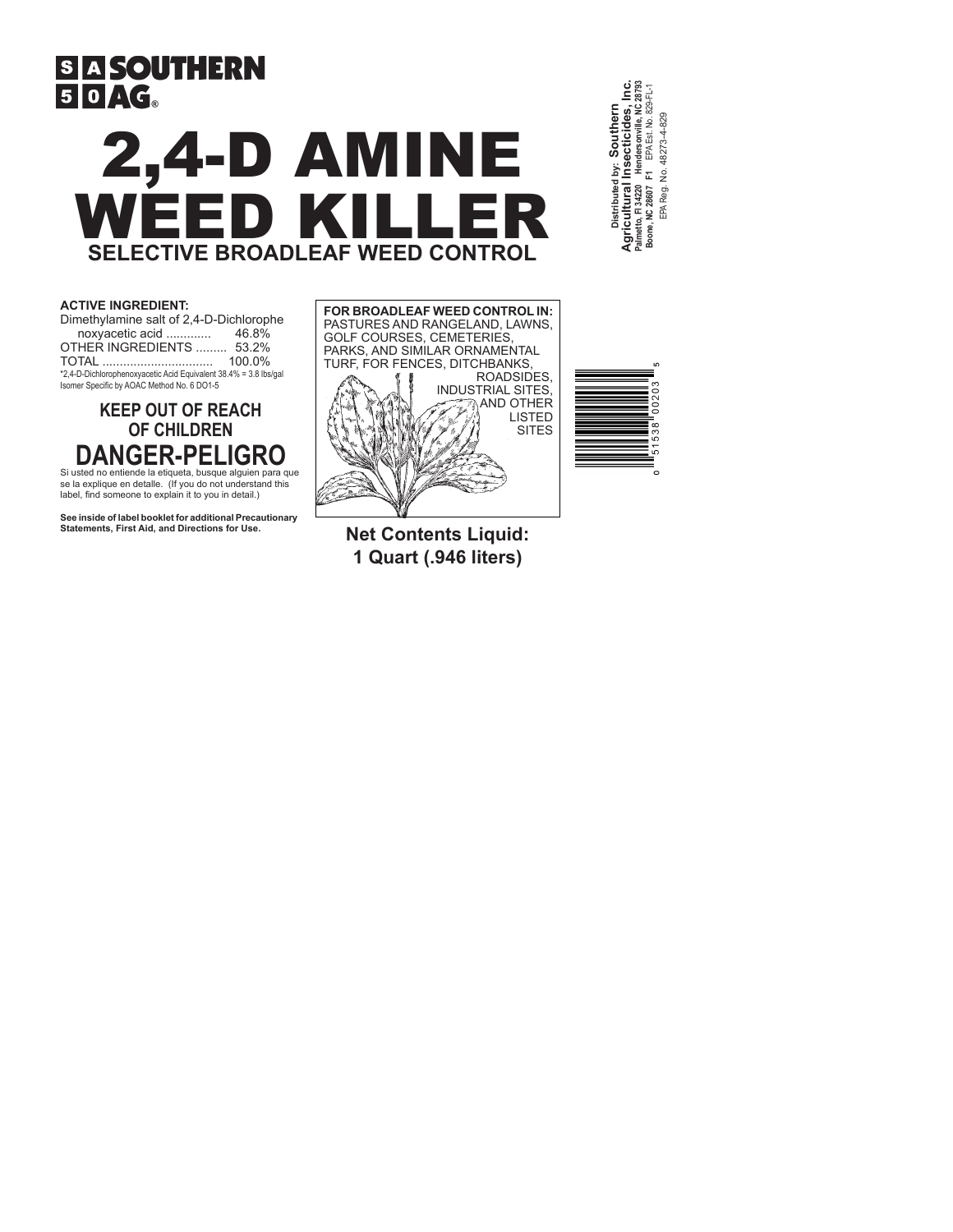# **SIA SOUTHERN**  $50/$  $\epsilon$

# 2,4-D AMINE WEED KILLER **SELECTIVE BROADLEAF WEED CONTROL**

**Palmetto, Fl 34220 Hendersonville, NC 28793 Agricultural Insecticides, Inc.** 28793 **Boone, NC 28607 F1** EPA Est. No. 829-FL-1 **Distributed by: Southern**  Southern Insecticides, EPA Reg. No. 48273-4-829 48273-4-829 EPA Est. No. EPA Reg. No. ř. Agricultural almetto, FI 34220 300ne, NC 28607

## **ACTIVE INGREDIENT:**

| Dimethylamine salt of 2,4-D-Dichlorophe                          |        |
|------------------------------------------------------------------|--------|
| noxyacetic acid                                                  | 46.8%  |
| OTHER INGREDIENTS  53.2%                                         |        |
| <b>TOTAL</b>                                                     | 100.0% |
| *2,4-D-Dichlorophenoxyacetic Acid Equivalent 38.4% = 3.8 lbs/gal |        |
| Isomer Specific by AOAC Method No. 6 DO1-5                       |        |

# **KEEP OUT OF REACH OF CHILDREN DANGER-PELIGRO**

Si usted no entiende la etiqueta, busque alguien para que se la explique en detalle. (If you do not understand this label, find someone to explain it to you in detail.)

**See inside of label booklet for additional Precautionary Statements, First Aid, and Directions for Use.**



**LO**  $\sim$ ö 002 ൟ ო Ю Ú٥

**Net Contents Liquid: 1 Quart (.946 liters)**